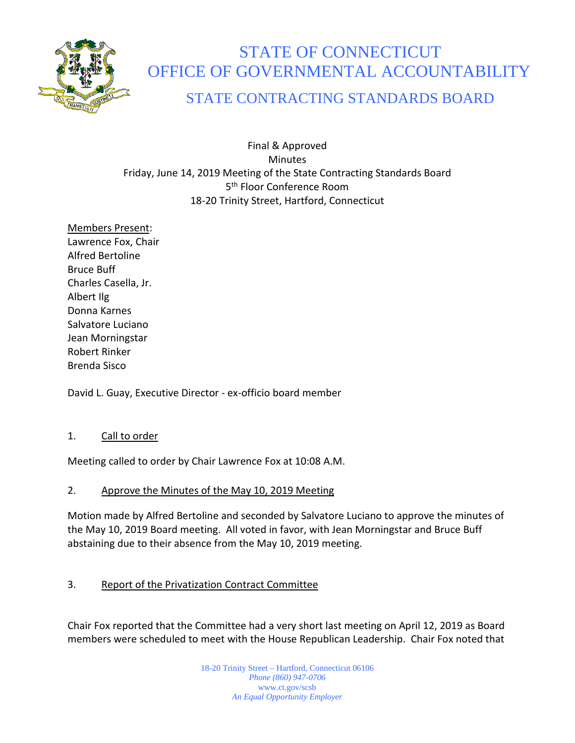

# STATE OF CONNECTICUT OFFICE OF GOVERNMENTAL ACCOUNTABILITY

# STATE CONTRACTING STANDARDS BOARD

Final & Approved **Minutes** Friday, June 14, 2019 Meeting of the State Contracting Standards Board 5<sup>th</sup> Floor Conference Room 18-20 Trinity Street, Hartford, Connecticut

Members Present: Lawrence Fox, Chair Alfred Bertoline Bruce Buff Charles Casella, Jr. Albert Ilg Donna Karnes Salvatore Luciano Jean Morningstar Robert Rinker Brenda Sisco

David L. Guay, Executive Director - ex-officio board member

# 1. Call to order

Meeting called to order by Chair Lawrence Fox at 10:08 A.M.

#### 2. Approve the Minutes of the May 10, 2019 Meeting

Motion made by Alfred Bertoline and seconded by Salvatore Luciano to approve the minutes of the May 10, 2019 Board meeting. All voted in favor, with Jean Morningstar and Bruce Buff abstaining due to their absence from the May 10, 2019 meeting.

# 3. Report of the Privatization Contract Committee

Chair Fox reported that the Committee had a very short last meeting on April 12, 2019 as Board members were scheduled to meet with the House Republican Leadership. Chair Fox noted that

> 18-20 Trinity Street – Hartford, Connecticut 06106 *Phone (860) 947-0706*  www.ct.gov/scsb *An Equal Opportunity Employer*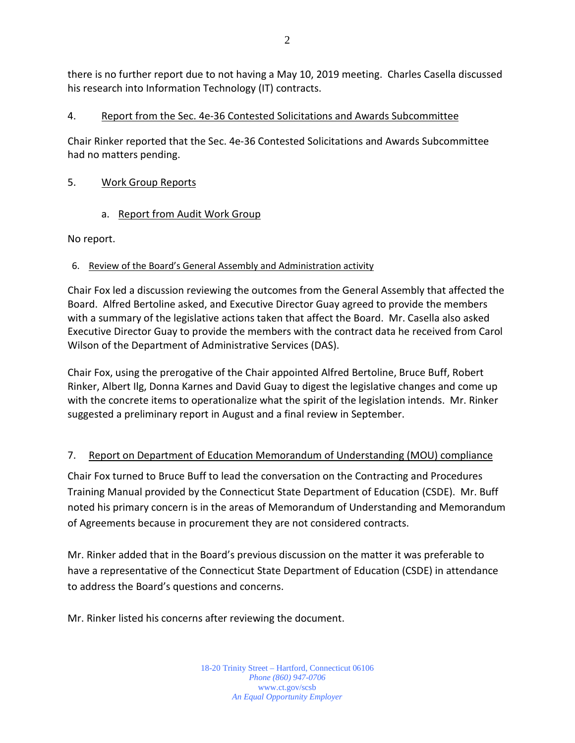there is no further report due to not having a May 10, 2019 meeting. Charles Casella discussed his research into Information Technology (IT) contracts.

### 4. Report from the Sec. 4e-36 Contested Solicitations and Awards Subcommittee

Chair Rinker reported that the Sec. 4e-36 Contested Solicitations and Awards Subcommittee had no matters pending.

#### 5. Work Group Reports

a. Report from Audit Work Group

No report.

#### 6. Review of the Board's General Assembly and Administration activity

Chair Fox led a discussion reviewing the outcomes from the General Assembly that affected the Board. Alfred Bertoline asked, and Executive Director Guay agreed to provide the members with a summary of the legislative actions taken that affect the Board. Mr. Casella also asked Executive Director Guay to provide the members with the contract data he received from Carol Wilson of the Department of Administrative Services (DAS).

Chair Fox, using the prerogative of the Chair appointed Alfred Bertoline, Bruce Buff, Robert Rinker, Albert Ilg, Donna Karnes and David Guay to digest the legislative changes and come up with the concrete items to operationalize what the spirit of the legislation intends. Mr. Rinker suggested a preliminary report in August and a final review in September.

# 7. Report on Department of Education Memorandum of Understanding (MOU) compliance

Chair Fox turned to Bruce Buff to lead the conversation on the Contracting and Procedures Training Manual provided by the Connecticut State Department of Education (CSDE). Mr. Buff noted his primary concern is in the areas of Memorandum of Understanding and Memorandum of Agreements because in procurement they are not considered contracts.

Mr. Rinker added that in the Board's previous discussion on the matter it was preferable to have a representative of the Connecticut State Department of Education (CSDE) in attendance to address the Board's questions and concerns.

Mr. Rinker listed his concerns after reviewing the document.

18-20 Trinity Street – Hartford, Connecticut 06106 *Phone (860) 947-0706*  www.ct.gov/scsb *An Equal Opportunity Employer*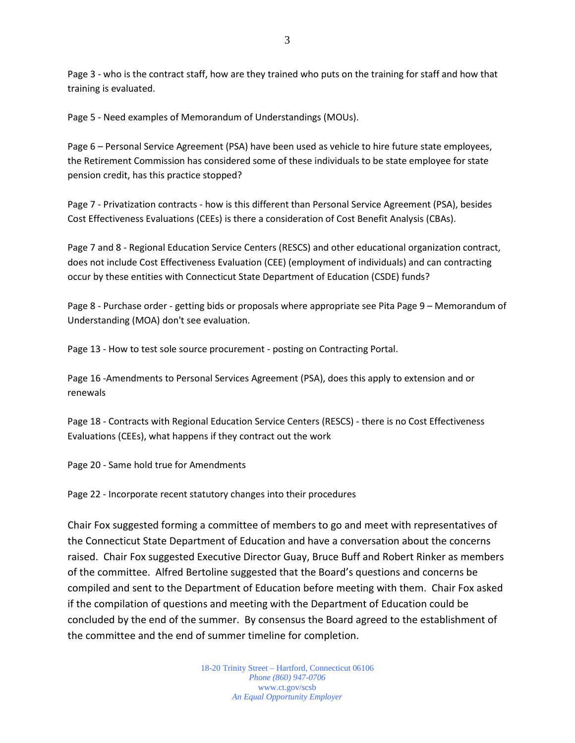Page 3 - who is the contract staff, how are they trained who puts on the training for staff and how that training is evaluated.

Page 5 - Need examples of Memorandum of Understandings (MOUs).

Page 6 – Personal Service Agreement (PSA) have been used as vehicle to hire future state employees, the Retirement Commission has considered some of these individuals to be state employee for state pension credit, has this practice stopped?

Page 7 - Privatization contracts - how is this different than Personal Service Agreement (PSA), besides Cost Effectiveness Evaluations (CEEs) is there a consideration of Cost Benefit Analysis (CBAs).

Page 7 and 8 - Regional Education Service Centers (RESCS) and other educational organization contract, does not include Cost Effectiveness Evaluation (CEE) (employment of individuals) and can contracting occur by these entities with Connecticut State Department of Education (CSDE) funds?

Page 8 - Purchase order - getting bids or proposals where appropriate see Pita Page 9 – Memorandum of Understanding (MOA) don't see evaluation.

Page 13 - How to test sole source procurement - posting on Contracting Portal.

Page 16 -Amendments to Personal Services Agreement (PSA), does this apply to extension and or renewals

Page 18 - Contracts with Regional Education Service Centers (RESCS) - there is no Cost Effectiveness Evaluations (CEEs), what happens if they contract out the work

Page 20 - Same hold true for Amendments

Page 22 - Incorporate recent statutory changes into their procedures

Chair Fox suggested forming a committee of members to go and meet with representatives of the Connecticut State Department of Education and have a conversation about the concerns raised. Chair Fox suggested Executive Director Guay, Bruce Buff and Robert Rinker as members of the committee. Alfred Bertoline suggested that the Board's questions and concerns be compiled and sent to the Department of Education before meeting with them. Chair Fox asked if the compilation of questions and meeting with the Department of Education could be concluded by the end of the summer. By consensus the Board agreed to the establishment of the committee and the end of summer timeline for completion.

> 18-20 Trinity Street – Hartford, Connecticut 06106 *Phone (860) 947-0706*  www.ct.gov/scsb *An Equal Opportunity Employer*